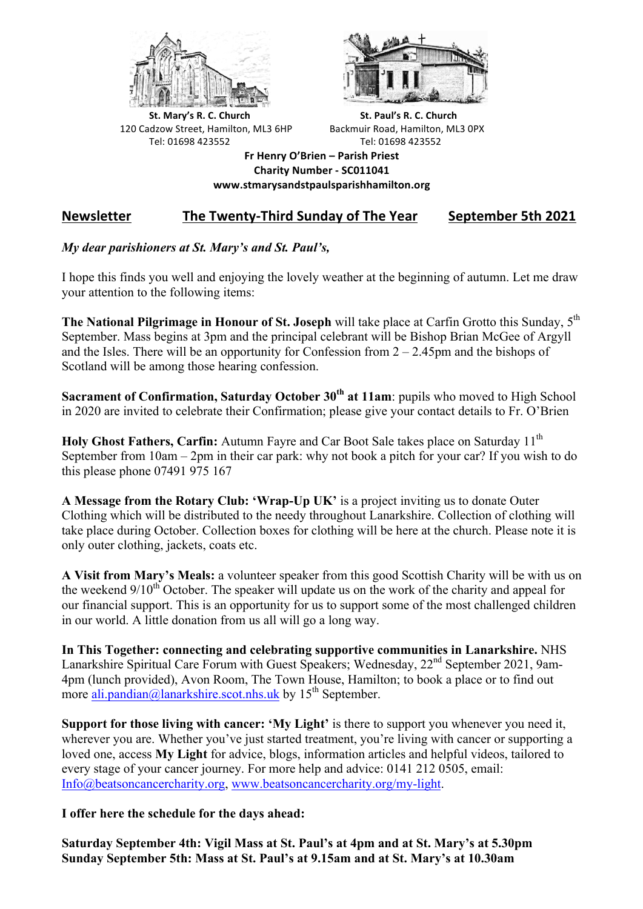



**St.** Mary's R. C. Church St. Paul's R. C. Church 120 Cadzow Street, Hamilton, ML3 6HP Backmuir Road, Hamilton, ML3 0PX Tel: 01698 423552 Tel: 01698 423552

**Fr Henry O'Brien – Parish Priest Charity Number - SC011041 www.stmarysandstpaulsparishhamilton.org**

## Newsletter The Twenty-Third Sunday of The Year September 5th 2021

## *My dear parishioners at St. Mary's and St. Paul's,*

I hope this finds you well and enjoying the lovely weather at the beginning of autumn. Let me draw your attention to the following items:

**The National Pilgrimage in Honour of St. Joseph** will take place at Carfin Grotto this Sunday, 5th September. Mass begins at 3pm and the principal celebrant will be Bishop Brian McGee of Argyll and the Isles. There will be an opportunity for Confession from  $2 - 2.45$  pm and the bishops of Scotland will be among those hearing confession.

**Sacrament of Confirmation, Saturday October 30th at 11am**: pupils who moved to High School in 2020 are invited to celebrate their Confirmation; please give your contact details to Fr. O'Brien

**Holy Ghost Fathers, Carfin:** Autumn Fayre and Car Boot Sale takes place on Saturday 11<sup>th</sup> September from 10am – 2pm in their car park: why not book a pitch for your car? If you wish to do this please phone 07491 975 167

**A Message from the Rotary Club: 'Wrap-Up UK'** is a project inviting us to donate Outer Clothing which will be distributed to the needy throughout Lanarkshire. Collection of clothing will take place during October. Collection boxes for clothing will be here at the church. Please note it is only outer clothing, jackets, coats etc.

**A Visit from Mary's Meals:** a volunteer speaker from this good Scottish Charity will be with us on the weekend  $9/10^{th}$  October. The speaker will update us on the work of the charity and appeal for our financial support. This is an opportunity for us to support some of the most challenged children in our world. A little donation from us all will go a long way.

**In This Together: connecting and celebrating supportive communities in Lanarkshire.** NHS Lanarkshire Spiritual Care Forum with Guest Speakers; Wednesday, 22<sup>nd</sup> September 2021, 9am-4pm (lunch provided), Avon Room, The Town House, Hamilton; to book a place or to find out more ali.pandian@lanarkshire.scot.nhs.uk by  $15<sup>th</sup>$  September.

**Support for those living with cancer: 'My Light'** is there to support you whenever you need it, wherever you are. Whether you've just started treatment, you're living with cancer or supporting a loved one, access **My Light** for advice, blogs, information articles and helpful videos, tailored to every stage of your cancer journey. For more help and advice: 0141 212 0505, email: Info@beatsoncancercharity.org, www.beatsoncancercharity.org/my-light.

**I offer here the schedule for the days ahead:**

**Saturday September 4th: Vigil Mass at St. Paul's at 4pm and at St. Mary's at 5.30pm Sunday September 5th: Mass at St. Paul's at 9.15am and at St. Mary's at 10.30am**